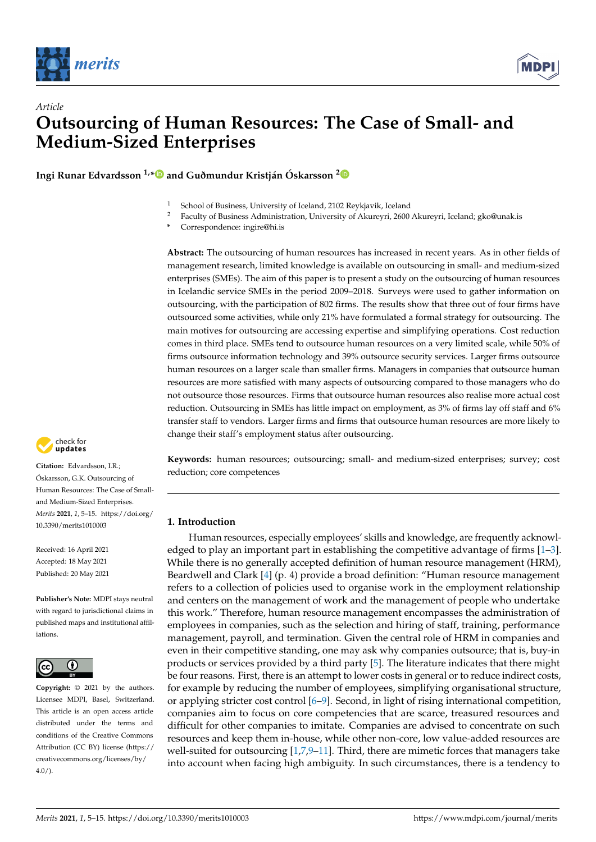



**Ingi Runar Edvardsson 1,[\\*](https://orcid.org/0000-0002-1167-3994) and Guðmundur Kristján Óskarsson [2](https://orcid.org/0000-0001-5651-0585)**



- <sup>2</sup> Faculty of Business Administration, University of Akureyri, 2600 Akureyri, Iceland; gko@unak.is
- **\*** Correspondence: ingire@hi.is

**Abstract:** The outsourcing of human resources has increased in recent years. As in other fields of management research, limited knowledge is available on outsourcing in small- and medium-sized enterprises (SMEs). The aim of this paper is to present a study on the outsourcing of human resources in Icelandic service SMEs in the period 2009–2018. Surveys were used to gather information on outsourcing, with the participation of 802 firms. The results show that three out of four firms have outsourced some activities, while only 21% have formulated a formal strategy for outsourcing. The main motives for outsourcing are accessing expertise and simplifying operations. Cost reduction comes in third place. SMEs tend to outsource human resources on a very limited scale, while 50% of firms outsource information technology and 39% outsource security services. Larger firms outsource human resources on a larger scale than smaller firms. Managers in companies that outsource human resources are more satisfied with many aspects of outsourcing compared to those managers who do not outsource those resources. Firms that outsource human resources also realise more actual cost reduction. Outsourcing in SMEs has little impact on employment, as 3% of firms lay off staff and 6% transfer staff to vendors. Larger firms and firms that outsource human resources are more likely to change their staff's employment status after outsourcing.

**Keywords:** human resources; outsourcing; small- and medium-sized enterprises; survey; cost reduction; core competences

# **1. Introduction**

Human resources, especially employees' skills and knowledge, are frequently acknowledged to play an important part in establishing the competitive advantage of firms  $[1-3]$  $[1-3]$ . While there is no generally accepted definition of human resource management (HRM), Beardwell and Clark [\[4\]](#page-9-2) (p. 4) provide a broad definition: "Human resource management refers to a collection of policies used to organise work in the employment relationship and centers on the management of work and the management of people who undertake this work." Therefore, human resource management encompasses the administration of employees in companies, such as the selection and hiring of staff, training, performance management, payroll, and termination. Given the central role of HRM in companies and even in their competitive standing, one may ask why companies outsource; that is, buy-in products or services provided by a third party [\[5\]](#page-9-3). The literature indicates that there might be four reasons. First, there is an attempt to lower costs in general or to reduce indirect costs, for example by reducing the number of employees, simplifying organisational structure, or applying stricter cost control [\[6](#page-9-4)[–9\]](#page-10-0). Second, in light of rising international competition, companies aim to focus on core competencies that are scarce, treasured resources and difficult for other companies to imitate. Companies are advised to concentrate on such resources and keep them in-house, while other non-core, low value-added resources are well-suited for outsourcing  $[1,7,9-11]$  $[1,7,9-11]$  $[1,7,9-11]$  $[1,7,9-11]$ . Third, there are mimetic forces that managers take into account when facing high ambiguity. In such circumstances, there is a tendency to



**Citation:** Edvardsson, I.R.; Óskarsson, G.K. Outsourcing of Human Resources: The Case of Smalland Medium-Sized Enterprises. *Merits* **2021**, *1*, 5–15. [https://doi.org/](https://doi.org/10.3390/merits1010003) [10.3390/merits1010003](https://doi.org/10.3390/merits1010003)

Received: 16 April 2021 Accepted: 18 May 2021 Published: 20 May 2021

**Publisher's Note:** MDPI stays neutral with regard to jurisdictional claims in published maps and institutional affiliations.



**Copyright:** © 2021 by the authors. Licensee MDPI, Basel, Switzerland. This article is an open access article distributed under the terms and conditions of the Creative Commons Attribution (CC BY) license (https:/[/](https://creativecommons.org/licenses/by/4.0/) [creativecommons.org/licenses/by/](https://creativecommons.org/licenses/by/4.0/)  $4.0/$ ).

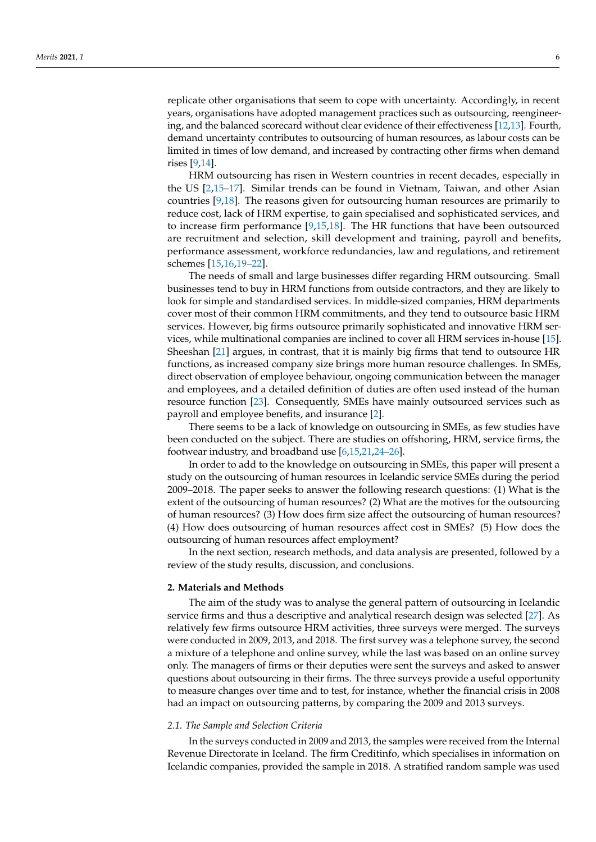replicate other organisations that seem to cope with uncertainty. Accordingly, in recent years, organisations have adopted management practices such as outsourcing, reengineering, and the balanced scorecard without clear evidence of their effectiveness [\[12,](#page-10-2)[13\]](#page-10-3). Fourth, demand uncertainty contributes to outsourcing of human resources, as labour costs can be limited in times of low demand, and increased by contracting other firms when demand rises [\[9,](#page-10-0)[14\]](#page-10-4).

HRM outsourcing has risen in Western countries in recent decades, especially in the US [\[2,](#page-9-6)[15–](#page-10-5)[17\]](#page-10-6). Similar trends can be found in Vietnam, Taiwan, and other Asian countries [\[9](#page-10-0)[,18\]](#page-10-7). The reasons given for outsourcing human resources are primarily to reduce cost, lack of HRM expertise, to gain specialised and sophisticated services, and to increase firm performance [\[9](#page-10-0)[,15](#page-10-5)[,18\]](#page-10-7). The HR functions that have been outsourced are recruitment and selection, skill development and training, payroll and benefits, performance assessment, workforce redundancies, law and regulations, and retirement schemes [\[15,](#page-10-5)[16](#page-10-8)[,19–](#page-10-9)[22\]](#page-10-10).

The needs of small and large businesses differ regarding HRM outsourcing. Small businesses tend to buy in HRM functions from outside contractors, and they are likely to look for simple and standardised services. In middle-sized companies, HRM departments cover most of their common HRM commitments, and they tend to outsource basic HRM services. However, big firms outsource primarily sophisticated and innovative HRM services, while multinational companies are inclined to cover all HRM services in-house [\[15\]](#page-10-5). Sheeshan [\[21\]](#page-10-11) argues, in contrast, that it is mainly big firms that tend to outsource HR functions, as increased company size brings more human resource challenges. In SMEs, direct observation of employee behaviour, ongoing communication between the manager and employees, and a detailed definition of duties are often used instead of the human resource function [\[23\]](#page-10-12). Consequently, SMEs have mainly outsourced services such as payroll and employee benefits, and insurance [\[2\]](#page-9-6).

There seems to be a lack of knowledge on outsourcing in SMEs, as few studies have been conducted on the subject. There are studies on offshoring, HRM, service firms, the footwear industry, and broadband use [\[6,](#page-9-4)[15,](#page-10-5)[21,](#page-10-11)[24–](#page-10-13)[26\]](#page-10-14).

In order to add to the knowledge on outsourcing in SMEs, this paper will present a study on the outsourcing of human resources in Icelandic service SMEs during the period 2009–2018. The paper seeks to answer the following research questions: (1) What is the extent of the outsourcing of human resources? (2) What are the motives for the outsourcing of human resources? (3) How does firm size affect the outsourcing of human resources? (4) How does outsourcing of human resources affect cost in SMEs? (5) How does the outsourcing of human resources affect employment?

In the next section, research methods, and data analysis are presented, followed by a review of the study results, discussion, and conclusions.

# **2. Materials and Methods**

The aim of the study was to analyse the general pattern of outsourcing in Icelandic service firms and thus a descriptive and analytical research design was selected [\[27\]](#page-10-15). As relatively few firms outsource HRM activities, three surveys were merged. The surveys were conducted in 2009, 2013, and 2018. The first survey was a telephone survey, the second a mixture of a telephone and online survey, while the last was based on an online survey only. The managers of firms or their deputies were sent the surveys and asked to answer questions about outsourcing in their firms. The three surveys provide a useful opportunity to measure changes over time and to test, for instance, whether the financial crisis in 2008 had an impact on outsourcing patterns, by comparing the 2009 and 2013 surveys.

### *2.1. The Sample and Selection Criteria*

In the surveys conducted in 2009 and 2013, the samples were received from the Internal Revenue Directorate in Iceland. The firm Creditinfo, which specialises in information on Icelandic companies, provided the sample in 2018. A stratified random sample was used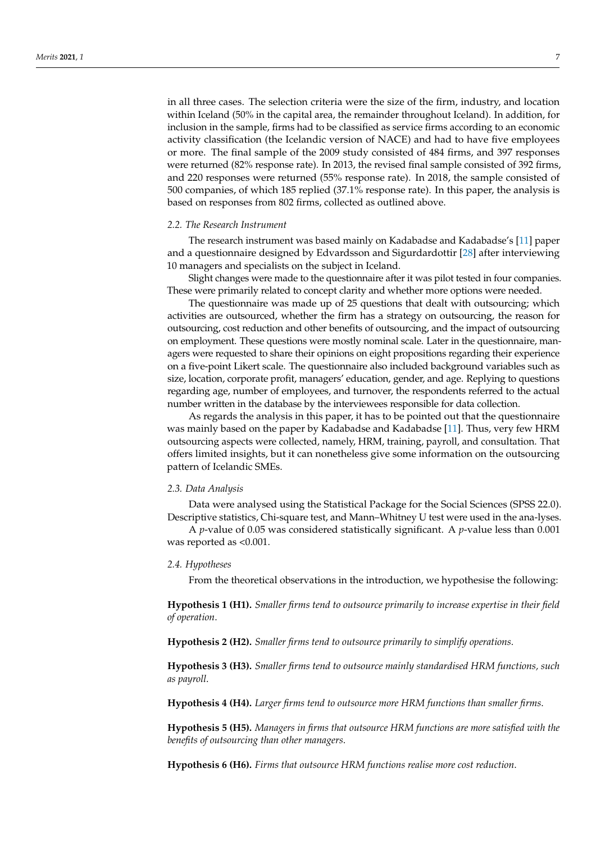in all three cases. The selection criteria were the size of the firm, industry, and location within Iceland (50% in the capital area, the remainder throughout Iceland). In addition, for inclusion in the sample, firms had to be classified as service firms according to an economic activity classification (the Icelandic version of NACE) and had to have five employees or more. The final sample of the 2009 study consisted of 484 firms, and 397 responses were returned (82% response rate). In 2013, the revised final sample consisted of 392 firms, and 220 responses were returned (55% response rate). In 2018, the sample consisted of 500 companies, of which 185 replied (37.1% response rate). In this paper, the analysis is based on responses from 802 firms, collected as outlined above.

# *2.2. The Research Instrument*

The research instrument was based mainly on Kadabadse and Kadabadse's [\[11\]](#page-10-1) paper and a questionnaire designed by Edvardsson and Sigurdardottir [\[28\]](#page-10-16) after interviewing 10 managers and specialists on the subject in Iceland.

Slight changes were made to the questionnaire after it was pilot tested in four companies. These were primarily related to concept clarity and whether more options were needed.

The questionnaire was made up of 25 questions that dealt with outsourcing; which activities are outsourced, whether the firm has a strategy on outsourcing, the reason for outsourcing, cost reduction and other benefits of outsourcing, and the impact of outsourcing on employment. These questions were mostly nominal scale. Later in the questionnaire, managers were requested to share their opinions on eight propositions regarding their experience on a five-point Likert scale. The questionnaire also included background variables such as size, location, corporate profit, managers' education, gender, and age. Replying to questions regarding age, number of employees, and turnover, the respondents referred to the actual number written in the database by the interviewees responsible for data collection.

As regards the analysis in this paper, it has to be pointed out that the questionnaire was mainly based on the paper by Kadabadse and Kadabadse [\[11\]](#page-10-1). Thus, very few HRM outsourcing aspects were collected, namely, HRM, training, payroll, and consultation. That offers limited insights, but it can nonetheless give some information on the outsourcing pattern of Icelandic SMEs.

#### *2.3. Data Analysis*

Data were analysed using the Statistical Package for the Social Sciences (SPSS 22.0). Descriptive statistics, Chi-square test, and Mann–Whitney U test were used in the ana-lyses.

A *p*-value of 0.05 was considered statistically significant. A *p*-value less than 0.001 was reported as <0.001.

#### *2.4. Hypotheses*

From the theoretical observations in the introduction, we hypothesise the following:

**Hypothesis 1 (H1).** *Smaller firms tend to outsource primarily to increase expertise in their field of operation*.

**Hypothesis 2 (H2).** *Smaller firms tend to outsource primarily to simplify operations*.

**Hypothesis 3 (H3).** *Smaller firms tend to outsource mainly standardised HRM functions, such as payroll*.

**Hypothesis 4 (H4).** *Larger firms tend to outsource more HRM functions than smaller firms*.

**Hypothesis 5 (H5).** *Managers in firms that outsource HRM functions are more satisfied with the benefits of outsourcing than other managers*.

**Hypothesis 6 (H6).** *Firms that outsource HRM functions realise more cost reduction*.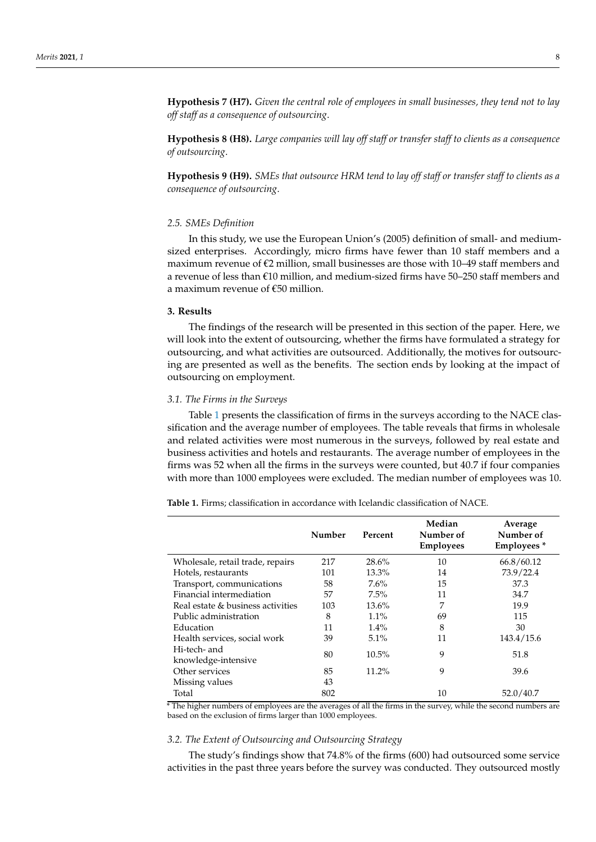**Hypothesis 7 (H7).** *Given the central role of employees in small businesses, they tend not to lay off staff as a consequence of outsourcing*.

**Hypothesis 8 (H8).** *Large companies will lay off staff or transfer staff to clients as a consequence of outsourcing*.

**Hypothesis 9 (H9).** *SMEs that outsource HRM tend to lay off staff or transfer staff to clients as a consequence of outsourcing*.

### *2.5. SMEs Definition*

In this study, we use the European Union's (2005) definition of small- and mediumsized enterprises. Accordingly, micro firms have fewer than 10 staff members and a maximum revenue of  $\epsilon$ 2 million, small businesses are those with 10–49 staff members and a revenue of less than  $\epsilon$ 10 million, and medium-sized firms have 50–250 staff members and a maximum revenue of €50 million.

# **3. Results**

The findings of the research will be presented in this section of the paper. Here, we will look into the extent of outsourcing, whether the firms have formulated a strategy for outsourcing, and what activities are outsourced. Additionally, the motives for outsourcing are presented as well as the benefits. The section ends by looking at the impact of outsourcing on employment.

#### *3.1. The Firms in the Surveys*

Table [1](#page-3-0) presents the classification of firms in the surveys according to the NACE classification and the average number of employees. The table reveals that firms in wholesale and related activities were most numerous in the surveys, followed by real estate and business activities and hotels and restaurants. The average number of employees in the firms was 52 when all the firms in the surveys were counted, but 40.7 if four companies with more than 1000 employees were excluded. The median number of employees was 10.

|                                     | Number | Percent  | Median<br>Number of<br><b>Employees</b> | Average<br>Number of<br>Employees <sup>*</sup> |
|-------------------------------------|--------|----------|-----------------------------------------|------------------------------------------------|
| Wholesale, retail trade, repairs    | 217    | 28.6%    | 10                                      | 66.8/60.12                                     |
| Hotels, restaurants                 | 101    | 13.3%    | 14                                      | 73.9/22.4                                      |
| Transport, communications           | 58     | 7.6%     | 15                                      | 37.3                                           |
| Financial intermediation            | 57     | $7.5\%$  | 11                                      | 34.7                                           |
| Real estate & business activities   | 103    | 13.6%    | 7                                       | 19.9                                           |
| Public administration               | 8      | 1.1%     | 69                                      | 115                                            |
| Education                           | 11     | 1.4%     | 8                                       | 30                                             |
| Health services, social work        | 39     | 5.1%     | 11                                      | 143.4/15.6                                     |
| Hi-tech- and<br>knowledge-intensive | 80     | $10.5\%$ | 9                                       | 51.8                                           |
| Other services                      | 85     | 11.2%    | 9                                       | 39.6                                           |
| Missing values                      | 43     |          |                                         |                                                |
| Total                               | 802    |          | 10                                      | 52.0/40.7                                      |

<span id="page-3-0"></span>**Table 1.** Firms; classification in accordance with Icelandic classification of NACE.

\* The higher numbers of employees are the averages of all the firms in the survey, while the second numbers are based on the exclusion of firms larger than 1000 employees.

#### *3.2. The Extent of Outsourcing and Outsourcing Strategy*

The study's findings show that 74.8% of the firms (600) had outsourced some service activities in the past three years before the survey was conducted. They outsourced mostly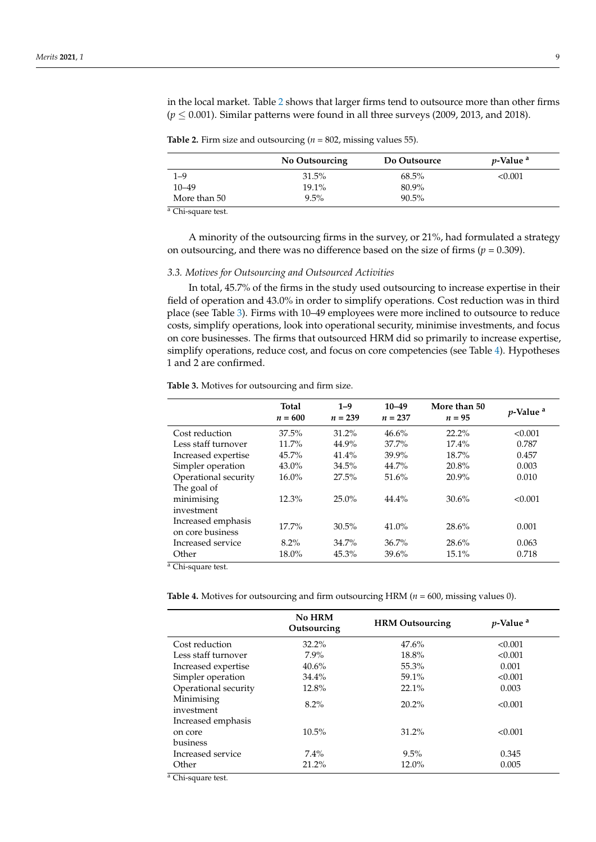in the local market. Table [2](#page-4-0) shows that larger firms tend to outsource more than other firms  $(p \leq 0.001)$ . Similar patterns were found in all three surveys (2009, 2013, and 2018).

<span id="page-4-0"></span>**Table 2.** Firm size and outsourcing ( $n = 802$ , missing values 55).

|                     | No Outsourcing | Do Outsource | <i>v</i> -Value <sup>a</sup> |
|---------------------|----------------|--------------|------------------------------|
| 1–9                 | 31.5%          | $68.5\%$     | < 0.001                      |
| $10 - 49$           | $19.1\%$       | 80.9%        |                              |
| More than 50        | $9.5\%$        | $90.5\%$     |                              |
| $^a$ Chi cause toot |                |              |                              |

Chi-square test.

A minority of the outsourcing firms in the survey, or 21%, had formulated a strategy on outsourcing, and there was no difference based on the size of firms  $(p = 0.309)$ .

### *3.3. Motives for Outsourcing and Outsourced Activities*

In total, 45.7% of the firms in the study used outsourcing to increase expertise in their field of operation and 43.0% in order to simplify operations. Cost reduction was in third place (see Table [3\)](#page-4-1). Firms with 10–49 employees were more inclined to outsource to reduce costs, simplify operations, look into operational security, minimise investments, and focus on core businesses. The firms that outsourced HRM did so primarily to increase expertise, simplify operations, reduce cost, and focus on core competencies (see Table [4\)](#page-4-2). Hypotheses 1 and 2 are confirmed.

|                                        | <b>Total</b><br>$n = 600$ | $1 - 9$<br>$n = 239$ | $10 - 49$<br>$n = 237$ | More than 50<br>$n = 95$ | $p$ -Value <sup>a</sup> |
|----------------------------------------|---------------------------|----------------------|------------------------|--------------------------|-------------------------|
| Cost reduction                         | 37.5%                     | 31.2%                | 46.6%                  | 22.2%                    | < 0.001                 |
| Less staff turnover                    | 11.7%                     | 44.9%                | 37.7%                  | 17.4%                    | 0.787                   |
| Increased expertise                    | 45.7%                     | 41.4%                | 39.9%                  | 18.7%                    | 0.457                   |
| Simpler operation                      | 43.0%                     | 34.5%                | 44.7%                  | 20.8%                    | 0.003                   |
| Operational security                   | 16.0%                     | 27.5%                | 51.6%                  | 20.9%                    | 0.010                   |
| The goal of                            |                           |                      |                        |                          |                         |
| minimising                             | 12.3%                     | $25.0\%$             | 44.4%                  | 30.6%                    | < 0.001                 |
| investment                             |                           |                      |                        |                          |                         |
| Increased emphasis<br>on core business | $17.7\%$                  | 30.5%                | 41.0%                  | 28.6%                    | 0.001                   |
| Increased service                      | $8.2\%$                   | $34.7\%$             | 36.7%                  | 28.6%                    | 0.063                   |
| Other<br>201<br>$\cdot$ $\cdot$        | 18.0%                     | 45.3%                | 39.6%                  | 15.1%                    | 0.718                   |

<span id="page-4-1"></span>**Table 3.** Motives for outsourcing and firm size.

<sup>a</sup> Chi-square test.

<span id="page-4-2"></span>**Table 4.** Motives for outsourcing and firm outsourcing HRM (*n* = 600, missing values 0).

|                                      | No HRM<br>Outsourcing | <b>HRM</b> Outsourcing | $p$ -Value <sup>a</sup> |
|--------------------------------------|-----------------------|------------------------|-------------------------|
| Cost reduction                       | $32.2\%$              | 47.6%                  | < 0.001                 |
| Less staff turnover                  | $7.9\%$               | 18.8%                  | < 0.001                 |
| Increased expertise                  | $40.6\%$              | 55.3%                  | 0.001                   |
| Simpler operation                    | 34.4%                 | 59.1%                  | < 0.001                 |
| Operational security                 | 12.8%                 | 22.1%                  | 0.003                   |
| Minimising<br>investment             | $8.2\%$               | $20.2\%$               | < 0.001                 |
| Increased emphasis                   |                       |                        |                         |
| on core                              | $10.5\%$              | 31.2%                  | < 0.001                 |
| business                             |                       |                        |                         |
| Increased service                    | $7.4\%$               | 9.5%                   | 0.345                   |
| Other<br>$\sim$ $\sim$ $\sim$ $\sim$ | 21.2%                 | 12.0%                  | 0.005                   |

<sup>a</sup> Chi-square test.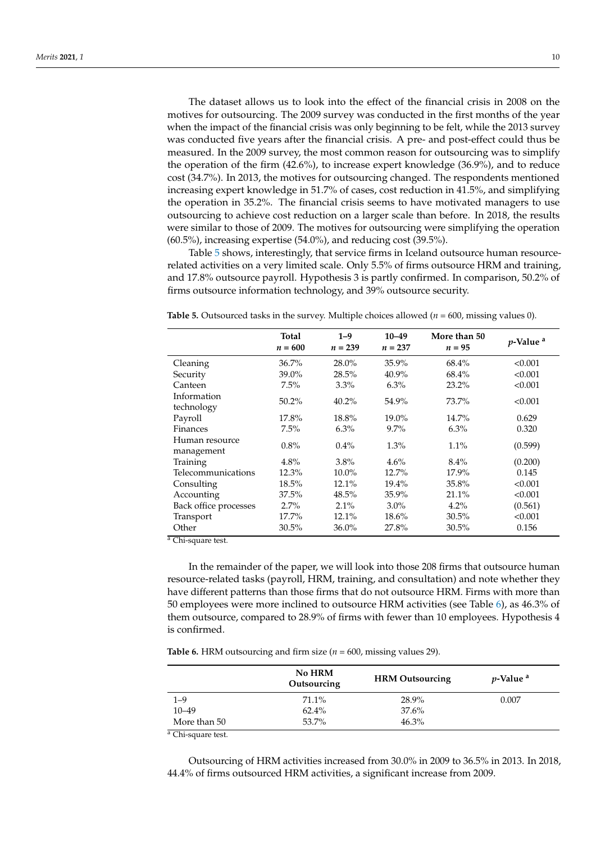The dataset allows us to look into the effect of the financial crisis in 2008 on the motives for outsourcing. The 2009 survey was conducted in the first months of the year when the impact of the financial crisis was only beginning to be felt, while the 2013 survey was conducted five years after the financial crisis. A pre- and post-effect could thus be measured. In the 2009 survey, the most common reason for outsourcing was to simplify the operation of the firm (42.6%), to increase expert knowledge (36.9%), and to reduce cost (34.7%). In 2013, the motives for outsourcing changed. The respondents mentioned increasing expert knowledge in 51.7% of cases, cost reduction in 41.5%, and simplifying the operation in 35.2%. The financial crisis seems to have motivated managers to use outsourcing to achieve cost reduction on a larger scale than before. In 2018, the results were similar to those of 2009. The motives for outsourcing were simplifying the operation (60.5%), increasing expertise (54.0%), and reducing cost (39.5%).

Table [5](#page-5-0) shows, interestingly, that service firms in Iceland outsource human resourcerelated activities on a very limited scale. Only 5.5% of firms outsource HRM and training, and 17.8% outsource payroll. Hypothesis 3 is partly confirmed. In comparison, 50.2% of firms outsource information technology, and 39% outsource security.

|                              | Total<br>$n = 600$ | $1 - 9$<br>$n = 239$ | $10 - 49$<br>$n = 237$ | More than 50<br>$n = 95$ | <i>p</i> -Value <sup>a</sup> |
|------------------------------|--------------------|----------------------|------------------------|--------------------------|------------------------------|
| Cleaning                     | 36.7%              | 28.0%                | 35.9%                  | 68.4%                    | < 0.001                      |
| Security                     | 39.0%              | 28.5%                | 40.9%                  | 68.4%                    | < 0.001                      |
| Canteen                      | 7.5%               | $3.3\%$              | $6.3\%$                | 23.2%                    | < 0.001                      |
| Information<br>technology    | 50.2%              | 40.2%                | 54.9%                  | 73.7%                    | < 0.001                      |
| Payroll                      | 17.8%              | 18.8%                | 19.0%                  | 14.7%                    | 0.629                        |
| <b>Finances</b>              | 7.5%               | $6.3\%$              | $9.7\%$                | 6.3%                     | 0.320                        |
| Human resource<br>management | 0.8%               | $0.4\%$              | $1.3\%$                | 1.1%                     | (0.599)                      |
| Training                     | 4.8%               | $3.8\%$              | 4.6%                   | $8.4\%$                  | (0.200)                      |
| Telecommunications           | 12.3%              | $10.0\%$             | 12.7%                  | 17.9%                    | 0.145                        |
| Consulting                   | 18.5%              | 12.1%                | 19.4%                  | 35.8%                    | < 0.001                      |
| Accounting                   | 37.5%              | 48.5%                | 35.9%                  | 21.1%                    | < 0.001                      |
| Back office processes        | 2.7%               | $2.1\%$              | $3.0\%$                | $4.2\%$                  | (0.561)                      |
| Transport                    | 17.7%              | 12.1%                | 18.6%                  | 30.5%                    | < 0.001                      |
| Other                        | 30.5%              | $36.0\%$             | 27.8%                  | $30.5\%$                 | 0.156                        |

<span id="page-5-0"></span>**Table 5.** Outsourced tasks in the survey. Multiple choices allowed (*n* = 600, missing values 0).

<sup>a</sup> Chi-square test.

In the remainder of the paper, we will look into those 208 firms that outsource human resource-related tasks (payroll, HRM, training, and consultation) and note whether they have different patterns than those firms that do not outsource HRM. Firms with more than 50 employees were more inclined to outsource HRM activities (see Table [6\)](#page-5-1), as 46.3% of them outsource, compared to 28.9% of firms with fewer than 10 employees. Hypothesis 4 is confirmed.

<span id="page-5-1"></span>**Table 6.** HRM outsourcing and firm size ( $n = 600$ , missing values 29).

|              | <b>No HRM</b><br>Outsourcing | <b>HRM</b> Outsourcing | <i>p</i> -Value <sup>a</sup> |
|--------------|------------------------------|------------------------|------------------------------|
| $1 - 9$      | 71.1%                        | 28.9%                  | 0.007                        |
| $10 - 49$    | 62.4%                        | $37.6\%$               |                              |
| More than 50 | 53.7%                        | 46.3%                  |                              |

<sup>a</sup> Chi-square test.

Outsourcing of HRM activities increased from 30.0% in 2009 to 36.5% in 2013. In 2018, 44.4% of firms outsourced HRM activities, a significant increase from 2009.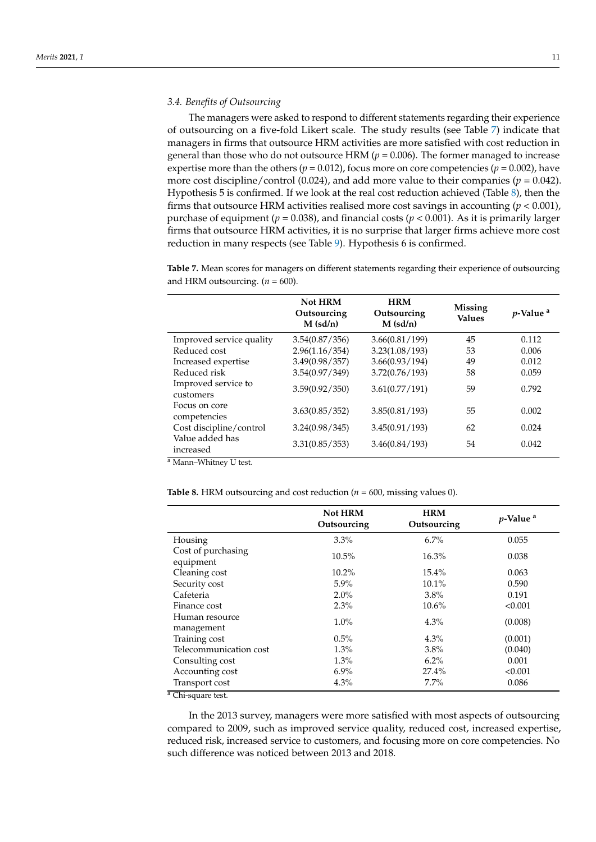### *3.4. Benefits of Outsourcing*

The managers were asked to respond to different statements regarding their experience of outsourcing on a five-fold Likert scale. The study results (see Table [7\)](#page-6-0) indicate that managers in firms that outsource HRM activities are more satisfied with cost reduction in general than those who do not outsource HRM (*p* = 0.006). The former managed to increase expertise more than the others ( $p = 0.012$ ), focus more on core competencies ( $p = 0.002$ ), have more cost discipline/control (0.024), and add more value to their companies ( $p = 0.042$ ). Hypothesis 5 is confirmed. If we look at the real cost reduction achieved (Table [8\)](#page-6-1), then the firms that outsource HRM activities realised more cost savings in accounting (*p* < 0.001), purchase of equipment ( $p = 0.038$ ), and financial costs ( $p < 0.001$ ). As it is primarily larger firms that outsource HRM activities, it is no surprise that larger firms achieve more cost reduction in many respects (see Table [9\)](#page-7-0). Hypothesis 6 is confirmed.

**Not HRM Outsourcing M (sd/n) HRM Outsourcing M (sd/n) Missing Values** *<sup>p</sup>***-Value <sup>a</sup>** Improved service quality 3.54(0.87/356) 3.66(0.81/199) 45 0.112 Reduced cost 2.96(1.16/354) 3.23(1.08/193) 53 0.006 Increased expertise 3.49(0.98/357) 3.66(0.93/194) 49 0.012 Reduced risk 3.54(0.97/349) 3.72(0.76/193) 58 0.059 Improved service to customers 3.59(0.92/350) 3.61(0.77/191) 59 0.792 Focus on core competencies 3.63(0.85/352) 3.85(0.81/193) 55 0.002 Cost discipline/control 3.24(0.98/345) 3.45(0.91/193) 62 0.024 Value added has increased 3.31(0.85/353) 3.46(0.84/193) 54 0.042

<span id="page-6-0"></span>**Table 7.** Mean scores for managers on different statements regarding their experience of outsourcing and HRM outsourcing.  $(n = 600)$ .

<sup>a</sup> Mann–Whitney U test.

<span id="page-6-1"></span>**Table 8.** HRM outsourcing and cost reduction ( $n = 600$ , missing values 0).

|                                 | Not HRM<br>Outsourcing | <b>HRM</b><br>Outsourcing | $p$ -Value <sup>a</sup> |
|---------------------------------|------------------------|---------------------------|-------------------------|
| Housing                         | $3.3\%$                | $6.7\%$                   | 0.055                   |
| Cost of purchasing<br>equipment | $10.5\%$               | $16.3\%$                  | 0.038                   |
| Cleaning cost                   | $10.2\%$               | $15.4\%$                  | 0.063                   |
| Security cost                   | $5.9\%$                | 10.1%                     | 0.590                   |
| Cafeteria                       | $2.0\%$                | $3.8\%$                   | 0.191                   |
| Finance cost                    | 2.3%                   | $10.6\%$                  | < 0.001                 |
| Human resource<br>management    | $1.0\%$                | $4.3\%$                   | (0.008)                 |
| Training cost                   | 0.5%                   | $4.3\%$                   | (0.001)                 |
| Telecommunication cost          | 1.3%                   | 3.8%                      | (0.040)                 |
| Consulting cost                 | 1.3%                   | $6.2\%$                   | 0.001                   |
| Accounting cost                 | $6.9\%$                | 27.4%                     | < 0.001                 |
| Transport cost                  | $4.3\%$                | $7.7\%$                   | 0.086                   |
| Chi-square test.                |                        |                           |                         |

In the 2013 survey, managers were more satisfied with most aspects of outsourcing compared to 2009, such as improved service quality, reduced cost, increased expertise, reduced risk, increased service to customers, and focusing more on core competencies. No such difference was noticed between 2013 and 2018.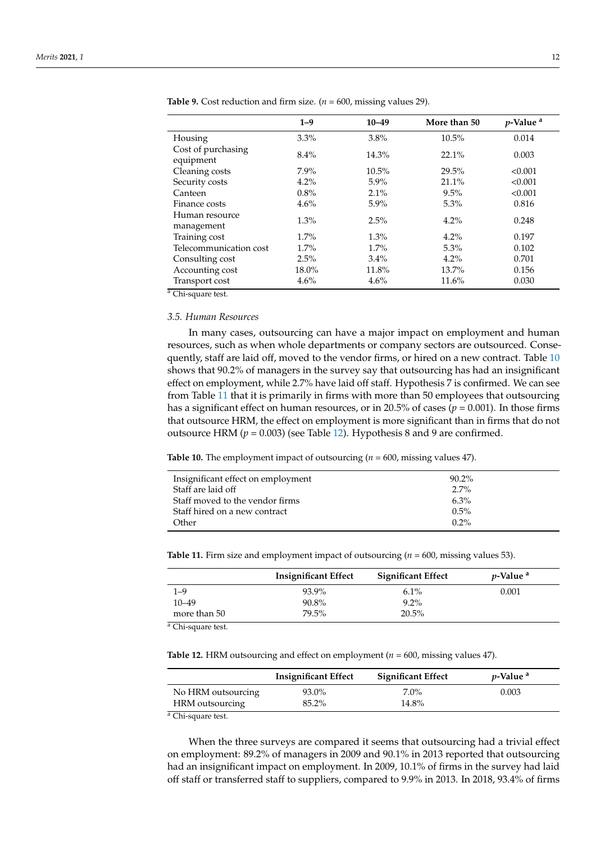|                                 | $1 - 9$ | $10 - 49$ | More than 50 | <i>p</i> -Value <sup>a</sup> |
|---------------------------------|---------|-----------|--------------|------------------------------|
| Housing                         | $3.3\%$ | 3.8%      | 10.5%        | 0.014                        |
| Cost of purchasing<br>equipment | $8.4\%$ | 14.3%     | 22.1%        | 0.003                        |
| Cleaning costs                  | $7.9\%$ | $10.5\%$  | 29.5%        | < 0.001                      |
| Security costs                  | 4.2%    | $5.9\%$   | 21.1%        | < 0.001                      |
| Canteen                         | $0.8\%$ | 2.1%      | 9.5%         | < 0.001                      |
| Finance costs                   | 4.6%    | $5.9\%$   | $5.3\%$      | 0.816                        |
| Human resource<br>management    | 1.3%    | 2.5%      | 4.2%         | 0.248                        |
| Training cost                   | $1.7\%$ | 1.3%      | $4.2\%$      | 0.197                        |
| Telecommunication cost          | $1.7\%$ | $1.7\%$   | $5.3\%$      | 0.102                        |
| Consulting cost                 | 2.5%    | 3.4%      | $4.2\%$      | 0.701                        |
| Accounting cost                 | 18.0%   | 11.8%     | 13.7%        | 0.156                        |
| Transport cost                  | 4.6%    | 4.6%      | 11.6%        | 0.030                        |

<span id="page-7-0"></span>**Table 9.** Cost reduction and firm size.  $(n = 600)$ , missing values 29).

<sup>a</sup> Chi-square test.

# *3.5. Human Resources*

In many cases, outsourcing can have a major impact on employment and human resources, such as when whole departments or company sectors are outsourced. Consequently, staff are laid off, moved to the vendor firms, or hired on a new contract. Table [10](#page-7-1) shows that 90.2% of managers in the survey say that outsourcing has had an insignificant effect on employment, while 2.7% have laid off staff. Hypothesis 7 is confirmed. We can see from Table [11](#page-7-2) that it is primarily in firms with more than 50 employees that outsourcing has a significant effect on human resources, or in 20.5% of cases ( $p = 0.001$ ). In those firms that outsource HRM, the effect on employment is more significant than in firms that do not outsource HRM  $(p = 0.003)$  (see Table [12\)](#page-7-3). Hypothesis 8 and 9 are confirmed.

<span id="page-7-1"></span>**Table 10.** The employment impact of outsourcing (*n* = 600, missing values 47).

| Insignificant effect on employment | $90.2\%$ |  |
|------------------------------------|----------|--|
| Staff are laid off                 | $2.7\%$  |  |
| Staff moved to the vendor firms    | $6.3\%$  |  |
| Staff hired on a new contract      | $0.5\%$  |  |
| Other                              | $0.2\%$  |  |
|                                    |          |  |

<span id="page-7-2"></span>**Table 11.** Firm size and employment impact of outsourcing (*n* = 600, missing values 53).

|              | <b>Insignificant Effect</b> | <b>Significant Effect</b> | <i>v</i> -Value <sup>a</sup> |
|--------------|-----------------------------|---------------------------|------------------------------|
| $1 - 9$      | 93.9%                       | $6.1\%$                   | 0.001                        |
| $10 - 49$    | 90.8%                       | $9.2\%$                   |                              |
| more than 50 | 79.5%                       | 20.5%                     |                              |

Chi-square test.

<span id="page-7-3"></span>**Table 12.** HRM outsourcing and effect on employment (*n* = 600, missing values 47).

|                    | <b>Insignificant Effect</b> | <b>Significant Effect</b> | <i>v</i> -Value <sup>a</sup> |
|--------------------|-----------------------------|---------------------------|------------------------------|
| No HRM outsourcing | 93.0%                       | $7.0\%$                   | 0.003                        |
| HRM outsourcing    | 85.2%                       | 14.8%                     |                              |

<sup>a</sup> Chi-square test.

When the three surveys are compared it seems that outsourcing had a trivial effect on employment: 89.2% of managers in 2009 and 90.1% in 2013 reported that outsourcing had an insignificant impact on employment. In 2009, 10.1% of firms in the survey had laid off staff or transferred staff to suppliers, compared to 9.9% in 2013. In 2018, 93.4% of firms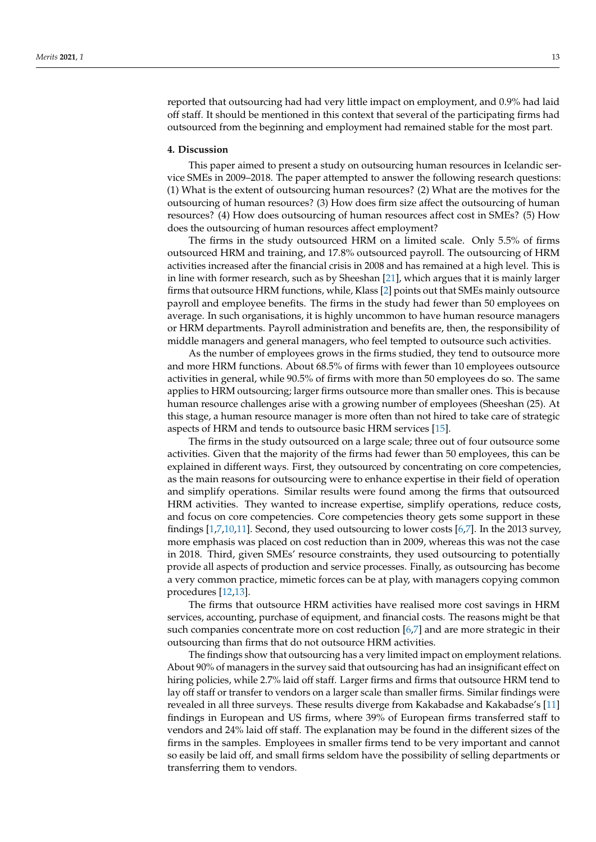reported that outsourcing had had very little impact on employment, and 0.9% had laid off staff. It should be mentioned in this context that several of the participating firms had outsourced from the beginning and employment had remained stable for the most part.

### **4. Discussion**

This paper aimed to present a study on outsourcing human resources in Icelandic service SMEs in 2009–2018. The paper attempted to answer the following research questions: (1) What is the extent of outsourcing human resources? (2) What are the motives for the outsourcing of human resources? (3) How does firm size affect the outsourcing of human resources? (4) How does outsourcing of human resources affect cost in SMEs? (5) How does the outsourcing of human resources affect employment?

The firms in the study outsourced HRM on a limited scale. Only 5.5% of firms outsourced HRM and training, and 17.8% outsourced payroll. The outsourcing of HRM activities increased after the financial crisis in 2008 and has remained at a high level. This is in line with former research, such as by Sheeshan [\[21\]](#page-10-11), which argues that it is mainly larger firms that outsource HRM functions, while, Klass [\[2\]](#page-9-6) points out that SMEs mainly outsource payroll and employee benefits. The firms in the study had fewer than 50 employees on average. In such organisations, it is highly uncommon to have human resource managers or HRM departments. Payroll administration and benefits are, then, the responsibility of middle managers and general managers, who feel tempted to outsource such activities.

As the number of employees grows in the firms studied, they tend to outsource more and more HRM functions. About 68.5% of firms with fewer than 10 employees outsource activities in general, while 90.5% of firms with more than 50 employees do so. The same applies to HRM outsourcing; larger firms outsource more than smaller ones. This is because human resource challenges arise with a growing number of employees (Sheeshan (25). At this stage, a human resource manager is more often than not hired to take care of strategic aspects of HRM and tends to outsource basic HRM services [\[15\]](#page-10-5).

The firms in the study outsourced on a large scale; three out of four outsource some activities. Given that the majority of the firms had fewer than 50 employees, this can be explained in different ways. First, they outsourced by concentrating on core competencies, as the main reasons for outsourcing were to enhance expertise in their field of operation and simplify operations. Similar results were found among the firms that outsourced HRM activities. They wanted to increase expertise, simplify operations, reduce costs, and focus on core competencies. Core competencies theory gets some support in these findings [\[1,](#page-9-0)[7,](#page-9-5)[10,](#page-10-17)[11\]](#page-10-1). Second, they used outsourcing to lower costs [\[6](#page-9-4)[,7\]](#page-9-5). In the 2013 survey, more emphasis was placed on cost reduction than in 2009, whereas this was not the case in 2018. Third, given SMEs' resource constraints, they used outsourcing to potentially provide all aspects of production and service processes. Finally, as outsourcing has become a very common practice, mimetic forces can be at play, with managers copying common procedures [\[12](#page-10-2)[,13\]](#page-10-3).

The firms that outsource HRM activities have realised more cost savings in HRM services, accounting, purchase of equipment, and financial costs. The reasons might be that such companies concentrate more on cost reduction [\[6,](#page-9-4)[7\]](#page-9-5) and are more strategic in their outsourcing than firms that do not outsource HRM activities.

The findings show that outsourcing has a very limited impact on employment relations. About 90% of managers in the survey said that outsourcing has had an insignificant effect on hiring policies, while 2.7% laid off staff. Larger firms and firms that outsource HRM tend to lay off staff or transfer to vendors on a larger scale than smaller firms. Similar findings were revealed in all three surveys. These results diverge from Kakabadse and Kakabadse's [\[11\]](#page-10-1) findings in European and US firms, where 39% of European firms transferred staff to vendors and 24% laid off staff. The explanation may be found in the different sizes of the firms in the samples. Employees in smaller firms tend to be very important and cannot so easily be laid off, and small firms seldom have the possibility of selling departments or transferring them to vendors.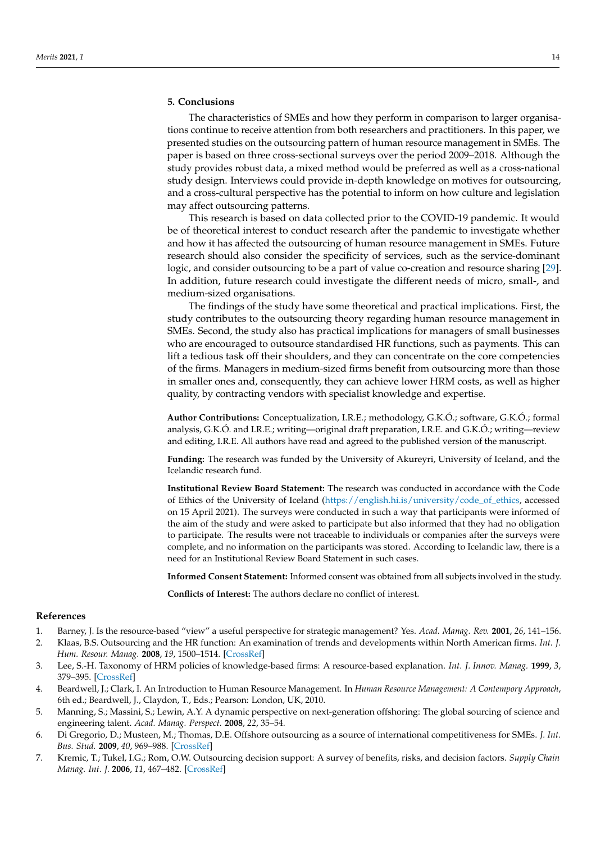# **5. Conclusions**

The characteristics of SMEs and how they perform in comparison to larger organisations continue to receive attention from both researchers and practitioners. In this paper, we presented studies on the outsourcing pattern of human resource management in SMEs. The paper is based on three cross-sectional surveys over the period 2009–2018. Although the study provides robust data, a mixed method would be preferred as well as a cross-national study design. Interviews could provide in-depth knowledge on motives for outsourcing, and a cross-cultural perspective has the potential to inform on how culture and legislation may affect outsourcing patterns.

This research is based on data collected prior to the COVID-19 pandemic. It would be of theoretical interest to conduct research after the pandemic to investigate whether and how it has affected the outsourcing of human resource management in SMEs. Future research should also consider the specificity of services, such as the service-dominant logic, and consider outsourcing to be a part of value co-creation and resource sharing [\[29\]](#page-10-18). In addition, future research could investigate the different needs of micro, small-, and medium-sized organisations.

The findings of the study have some theoretical and practical implications. First, the study contributes to the outsourcing theory regarding human resource management in SMEs. Second, the study also has practical implications for managers of small businesses who are encouraged to outsource standardised HR functions, such as payments. This can lift a tedious task off their shoulders, and they can concentrate on the core competencies of the firms. Managers in medium-sized firms benefit from outsourcing more than those in smaller ones and, consequently, they can achieve lower HRM costs, as well as higher quality, by contracting vendors with specialist knowledge and expertise.

**Author Contributions:** Conceptualization, I.R.E.; methodology, G.K.Ó.; software, G.K.Ó.; formal analysis, G.K.Ó. and I.R.E.; writing—original draft preparation, I.R.E. and G.K.Ó.; writing—review and editing, I.R.E. All authors have read and agreed to the published version of the manuscript.

**Funding:** The research was funded by the University of Akureyri, University of Iceland, and the Icelandic research fund.

**Institutional Review Board Statement:** The research was conducted in accordance with the Code of Ethics of the University of Iceland [\(https://english.hi.is/university/code\\_of\\_ethics,](https://english.hi.is/university/code_of_ethics) accessed on 15 April 2021). The surveys were conducted in such a way that participants were informed of the aim of the study and were asked to participate but also informed that they had no obligation to participate. The results were not traceable to individuals or companies after the surveys were complete, and no information on the participants was stored. According to Icelandic law, there is a need for an Institutional Review Board Statement in such cases.

**Informed Consent Statement:** Informed consent was obtained from all subjects involved in the study.

**Conflicts of Interest:** The authors declare no conflict of interest.

## **References**

- <span id="page-9-0"></span>1. Barney, J. Is the resource-based "view" a useful perspective for strategic management? Yes. *Acad. Manag. Rev.* **2001**, *26*, 141–156.
- <span id="page-9-6"></span>2. Klaas, B.S. Outsourcing and the HR function: An examination of trends and developments within North American firms. *Int. J. Hum. Resour. Manag.* **2008**, *19*, 1500–1514. [\[CrossRef\]](http://doi.org/10.1080/09585190802200280)
- <span id="page-9-1"></span>3. Lee, S.-H. Taxonomy of HRM policies of knowledge-based firms: A resource-based explanation. *Int. J. Innov. Manag.* **1999**, *3*, 379–395. [\[CrossRef\]](http://doi.org/10.1142/S1363919699000190)
- <span id="page-9-2"></span>4. Beardwell, J.; Clark, I. An Introduction to Human Resource Management. In *Human Resource Management: A Contempory Approach*, 6th ed.; Beardwell, J., Claydon, T., Eds.; Pearson: London, UK, 2010.
- <span id="page-9-3"></span>5. Manning, S.; Massini, S.; Lewin, A.Y. A dynamic perspective on next-generation offshoring: The global sourcing of science and engineering talent. *Acad. Manag. Perspect.* **2008**, *22*, 35–54.
- <span id="page-9-4"></span>6. Di Gregorio, D.; Musteen, M.; Thomas, D.E. Offshore outsourcing as a source of international competitiveness for SMEs. *J. Int. Bus. Stud.* **2009**, *40*, 969–988. [\[CrossRef\]](http://doi.org/10.1057/jibs.2008.90)
- <span id="page-9-5"></span>7. Kremic, T.; Tukel, I.G.; Rom, O.W. Outsourcing decision support: A survey of benefits, risks, and decision factors. *Supply Chain Manag. Int. J.* **2006**, *11*, 467–482. [\[CrossRef\]](http://doi.org/10.1108/13598540610703864)